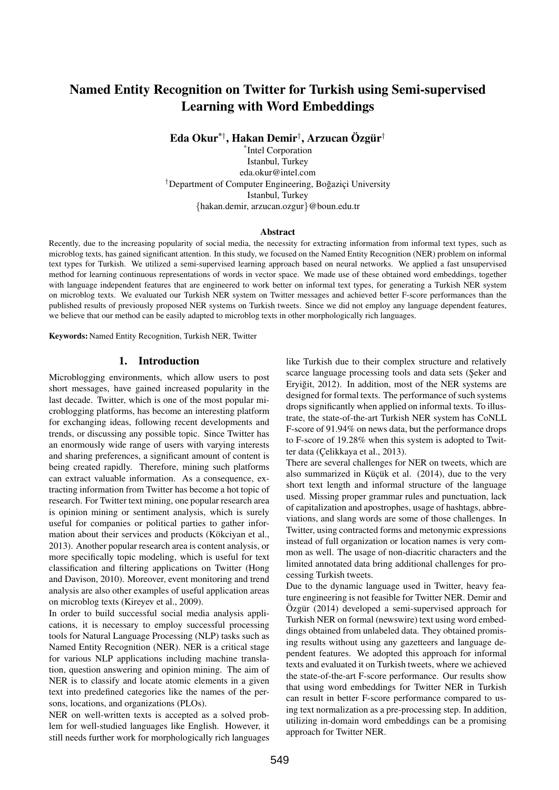# Named Entity Recognition on Twitter for Turkish using Semi-supervised Learning with Word Embeddings

Eda Okur $^{* \dagger}$ , Hakan Demir $^{\dagger}$ , Arzucan Özgür $^{\dagger}$ 

\* Intel Corporation Istanbul, Turkey eda.okur@intel.com <sup>†</sup>Department of Computer Engineering, Boğaziçi University Istanbul, Turkey {hakan.demir, arzucan.ozgur}@boun.edu.tr

#### Abstract

Recently, due to the increasing popularity of social media, the necessity for extracting information from informal text types, such as microblog texts, has gained significant attention. In this study, we focused on the Named Entity Recognition (NER) problem on informal text types for Turkish. We utilized a semi-supervised learning approach based on neural networks. We applied a fast unsupervised method for learning continuous representations of words in vector space. We made use of these obtained word embeddings, together with language independent features that are engineered to work better on informal text types, for generating a Turkish NER system on microblog texts. We evaluated our Turkish NER system on Twitter messages and achieved better F-score performances than the published results of previously proposed NER systems on Turkish tweets. Since we did not employ any language dependent features, we believe that our method can be easily adapted to microblog texts in other morphologically rich languages.

Keywords: Named Entity Recognition, Turkish NER, Twitter

#### 1. Introduction

Microblogging environments, which allow users to post short messages, have gained increased popularity in the last decade. Twitter, which is one of the most popular microblogging platforms, has become an interesting platform for exchanging ideas, following recent developments and trends, or discussing any possible topic. Since Twitter has an enormously wide range of users with varying interests and sharing preferences, a significant amount of content is being created rapidly. Therefore, mining such platforms can extract valuable information. As a consequence, extracting information from Twitter has become a hot topic of research. For Twitter text mining, one popular research area is opinion mining or sentiment analysis, which is surely useful for companies or political parties to gather information about their services and products (Kökciyan et al., 2013). Another popular research area is content analysis, or more specifically topic modeling, which is useful for text classification and filtering applications on Twitter (Hong and Davison, 2010). Moreover, event monitoring and trend analysis are also other examples of useful application areas on microblog texts (Kireyev et al., 2009).

In order to build successful social media analysis applications, it is necessary to employ successful processing tools for Natural Language Processing (NLP) tasks such as Named Entity Recognition (NER). NER is a critical stage for various NLP applications including machine translation, question answering and opinion mining. The aim of NER is to classify and locate atomic elements in a given text into predefined categories like the names of the persons, locations, and organizations (PLOs).

NER on well-written texts is accepted as a solved problem for well-studied languages like English. However, it still needs further work for morphologically rich languages

like Turkish due to their complex structure and relatively scarce language processing tools and data sets (Şeker and Eryiğit, 2012). In addition, most of the NER systems are designed for formal texts. The performance of such systems drops significantly when applied on informal texts. To illustrate, the state-of-the-art Turkish NER system has CoNLL F-score of 91.94% on news data, but the performance drops to F-score of 19.28% when this system is adopted to Twitter data (Çelikkaya et al., 2013).

There are several challenges for NER on tweets, which are also summarized in Küçük et al. (2014), due to the very short text length and informal structure of the language used. Missing proper grammar rules and punctuation, lack of capitalization and apostrophes, usage of hashtags, abbreviations, and slang words are some of those challenges. In Twitter, using contracted forms and metonymic expressions instead of full organization or location names is very common as well. The usage of non-diacritic characters and the limited annotated data bring additional challenges for processing Turkish tweets.

Due to the dynamic language used in Twitter, heavy feature engineering is not feasible for Twitter NER. Demir and Özgür (2014) developed a semi-supervised approach for Turkish NER on formal (newswire) text using word embeddings obtained from unlabeled data. They obtained promising results without using any gazetteers and language dependent features. We adopted this approach for informal texts and evaluated it on Turkish tweets, where we achieved the state-of-the-art F-score performance. Our results show that using word embeddings for Twitter NER in Turkish can result in better F-score performance compared to using text normalization as a pre-processing step. In addition, utilizing in-domain word embeddings can be a promising approach for Twitter NER.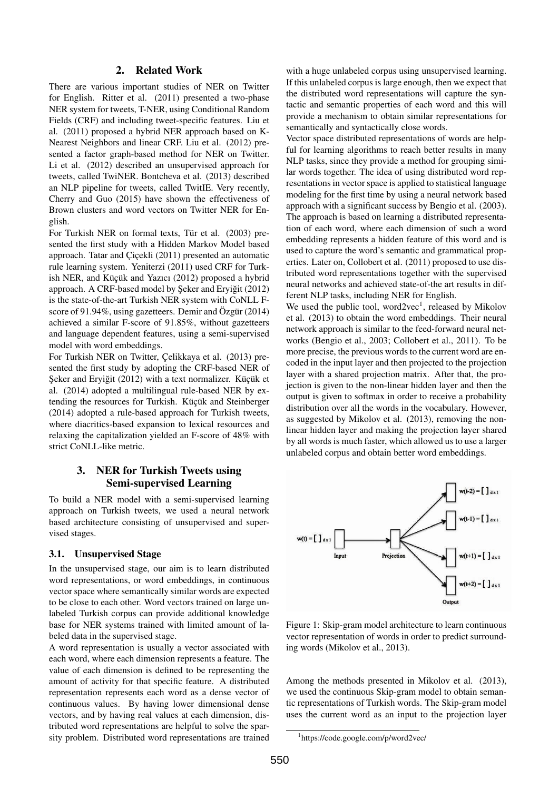#### 2. Related Work

There are various important studies of NER on Twitter for English. Ritter et al. (2011) presented a two-phase NER system for tweets, T-NER, using Conditional Random Fields (CRF) and including tweet-specific features. Liu et al. (2011) proposed a hybrid NER approach based on K-Nearest Neighbors and linear CRF. Liu et al. (2012) presented a factor graph-based method for NER on Twitter. Li et al. (2012) described an unsupervised approach for tweets, called TwiNER. Bontcheva et al. (2013) described an NLP pipeline for tweets, called TwitIE. Very recently, Cherry and Guo (2015) have shown the effectiveness of Brown clusters and word vectors on Twitter NER for English.

For Turkish NER on formal texts, Tür et al. (2003) presented the first study with a Hidden Markov Model based approach. Tatar and Çiçekli (2011) presented an automatic rule learning system. Yeniterzi (2011) used CRF for Turkish NER, and Küçük and Yazıcı (2012) proposed a hybrid approach. A CRF-based model by Şeker and Eryiğit (2012) is the state-of-the-art Turkish NER system with CoNLL Fscore of 91.94%, using gazetteers. Demir and Özgür (2014) achieved a similar F-score of 91.85%, without gazetteers and language dependent features, using a semi-supervised model with word embeddings.

For Turkish NER on Twitter, Celikkaya et al. (2013) presented the first study by adopting the CRF-based NER of Şeker and Eryiğit (2012) with a text normalizer. Küçük et al. (2014) adopted a multilingual rule-based NER by extending the resources for Turkish. Küçük and Steinberger (2014) adopted a rule-based approach for Turkish tweets, where diacritics-based expansion to lexical resources and relaxing the capitalization yielded an F-score of 48% with strict CoNLL-like metric.

# 3. NER for Turkish Tweets using Semi-supervised Learning

To build a NER model with a semi-supervised learning approach on Turkish tweets, we used a neural network based architecture consisting of unsupervised and supervised stages.

#### 3.1. Unsupervised Stage

In the unsupervised stage, our aim is to learn distributed word representations, or word embeddings, in continuous vector space where semantically similar words are expected to be close to each other. Word vectors trained on large unlabeled Turkish corpus can provide additional knowledge base for NER systems trained with limited amount of labeled data in the supervised stage.

A word representation is usually a vector associated with each word, where each dimension represents a feature. The value of each dimension is defined to be representing the amount of activity for that specific feature. A distributed representation represents each word as a dense vector of continuous values. By having lower dimensional dense vectors, and by having real values at each dimension, distributed word representations are helpful to solve the sparsity problem. Distributed word representations are trained

with a huge unlabeled corpus using unsupervised learning. If this unlabeled corpus is large enough, then we expect that the distributed word representations will capture the syntactic and semantic properties of each word and this will provide a mechanism to obtain similar representations for semantically and syntactically close words.

Vector space distributed representations of words are helpful for learning algorithms to reach better results in many NLP tasks, since they provide a method for grouping similar words together. The idea of using distributed word representations in vector space is applied to statistical language modeling for the first time by using a neural network based approach with a significant success by Bengio et al. (2003). The approach is based on learning a distributed representation of each word, where each dimension of such a word embedding represents a hidden feature of this word and is used to capture the word's semantic and grammatical properties. Later on, Collobert et al. (2011) proposed to use distributed word representations together with the supervised neural networks and achieved state-of-the art results in different NLP tasks, including NER for English.

We used the public tool, word2vec<sup>1</sup>, released by Mikolov et al. (2013) to obtain the word embeddings. Their neural network approach is similar to the feed-forward neural networks (Bengio et al., 2003; Collobert et al., 2011). To be more precise, the previous words to the current word are encoded in the input layer and then projected to the projection layer with a shared projection matrix. After that, the projection is given to the non-linear hidden layer and then the output is given to softmax in order to receive a probability distribution over all the words in the vocabulary. However, as suggested by Mikolov et al. (2013), removing the nonlinear hidden layer and making the projection layer shared by all words is much faster, which allowed us to use a larger unlabeled corpus and obtain better word embeddings.



Figure 1: Skip-gram model architecture to learn continuous vector representation of words in order to predict surrounding words (Mikolov et al., 2013).

Among the methods presented in Mikolov et al. (2013), we used the continuous Skip-gram model to obtain semantic representations of Turkish words. The Skip-gram model uses the current word as an input to the projection layer

<sup>1</sup> https://code.google.com/p/word2vec/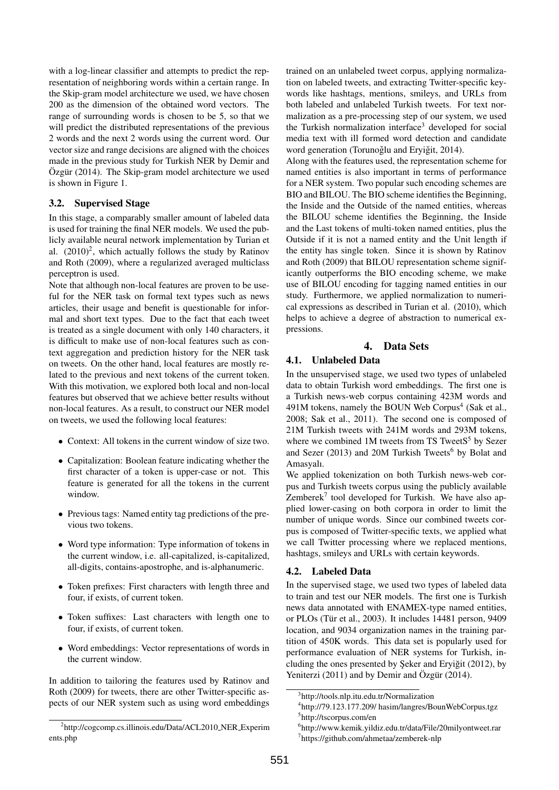with a log-linear classifier and attempts to predict the representation of neighboring words within a certain range. In the Skip-gram model architecture we used, we have chosen 200 as the dimension of the obtained word vectors. The range of surrounding words is chosen to be 5, so that we will predict the distributed representations of the previous 2 words and the next 2 words using the current word. Our vector size and range decisions are aligned with the choices made in the previous study for Turkish NER by Demir and Özgür (2014). The Skip-gram model architecture we used is shown in Figure 1.

## 3.2. Supervised Stage

In this stage, a comparably smaller amount of labeled data is used for training the final NER models. We used the publicly available neural network implementation by Turian et al.  $(2010)^2$ , which actually follows the study by Ratinov and Roth (2009), where a regularized averaged multiclass perceptron is used.

Note that although non-local features are proven to be useful for the NER task on formal text types such as news articles, their usage and benefit is questionable for informal and short text types. Due to the fact that each tweet is treated as a single document with only 140 characters, it is difficult to make use of non-local features such as context aggregation and prediction history for the NER task on tweets. On the other hand, local features are mostly related to the previous and next tokens of the current token. With this motivation, we explored both local and non-local features but observed that we achieve better results without non-local features. As a result, to construct our NER model on tweets, we used the following local features:

- Context: All tokens in the current window of size two.
- Capitalization: Boolean feature indicating whether the first character of a token is upper-case or not. This feature is generated for all the tokens in the current window.
- Previous tags: Named entity tag predictions of the previous two tokens.
- Word type information: Type information of tokens in the current window, i.e. all-capitalized, is-capitalized, all-digits, contains-apostrophe, and is-alphanumeric.
- Token prefixes: First characters with length three and four, if exists, of current token.
- Token suffixes: Last characters with length one to four, if exists, of current token.
- Word embeddings: Vector representations of words in the current window.

In addition to tailoring the features used by Ratinov and Roth (2009) for tweets, there are other Twitter-specific aspects of our NER system such as using word embeddings

trained on an unlabeled tweet corpus, applying normalization on labeled tweets, and extracting Twitter-specific keywords like hashtags, mentions, smileys, and URLs from both labeled and unlabeled Turkish tweets. For text normalization as a pre-processing step of our system, we used the Turkish normalization interface<sup>3</sup> developed for social media text with ill formed word detection and candidate word generation (Torunoğlu and Eryiğit, 2014).

Along with the features used, the representation scheme for named entities is also important in terms of performance for a NER system. Two popular such encoding schemes are BIO and BILOU. The BIO scheme identifies the Beginning, the Inside and the Outside of the named entities, whereas the BILOU scheme identifies the Beginning, the Inside and the Last tokens of multi-token named entities, plus the Outside if it is not a named entity and the Unit length if the entity has single token. Since it is shown by Ratinov and Roth (2009) that BILOU representation scheme significantly outperforms the BIO encoding scheme, we make use of BILOU encoding for tagging named entities in our study. Furthermore, we applied normalization to numerical expressions as described in Turian et al. (2010), which helps to achieve a degree of abstraction to numerical expressions.

# 4. Data Sets

## 4.1. Unlabeled Data

In the unsupervised stage, we used two types of unlabeled data to obtain Turkish word embeddings. The first one is a Turkish news-web corpus containing 423M words and 491M tokens, namely the BOUN Web Corpus<sup>4</sup> (Sak et al., 2008; Sak et al., 2011). The second one is composed of 21M Turkish tweets with 241M words and 293M tokens, where we combined 1M tweets from TS TweetS<sup>5</sup> by Sezer and Sezer (2013) and 20M Turkish Tweets<sup>6</sup> by Bolat and Amasyalı.

We applied tokenization on both Turkish news-web corpus and Turkish tweets corpus using the publicly available Zembere $k^7$  tool developed for Turkish. We have also applied lower-casing on both corpora in order to limit the number of unique words. Since our combined tweets corpus is composed of Twitter-specific texts, we applied what we call Twitter processing where we replaced mentions, hashtags, smileys and URLs with certain keywords.

#### 4.2. Labeled Data

In the supervised stage, we used two types of labeled data to train and test our NER models. The first one is Turkish news data annotated with ENAMEX-type named entities, or PLOs (Tür et al., 2003). It includes 14481 person, 9409 location, and 9034 organization names in the training partition of 450K words. This data set is popularly used for performance evaluation of NER systems for Turkish, including the ones presented by Seker and Eryigit  $(2012)$ , by Yeniterzi  $(2011)$  and by Demir and Özgür  $(2014)$ .

<sup>&</sup>lt;sup>2</sup>http://cogcomp.cs.illinois.edu/Data/ACL2010\_NER\_Experim ents.php

<sup>3</sup> http://tools.nlp.itu.edu.tr/Normalization

<sup>4</sup> http://79.123.177.209/ hasim/langres/BounWebCorpus.tgz 5 http://tscorpus.com/en

<sup>6</sup> http://www.kemik.yildiz.edu.tr/data/File/20milyontweet.rar 7 https://github.com/ahmetaa/zemberek-nlp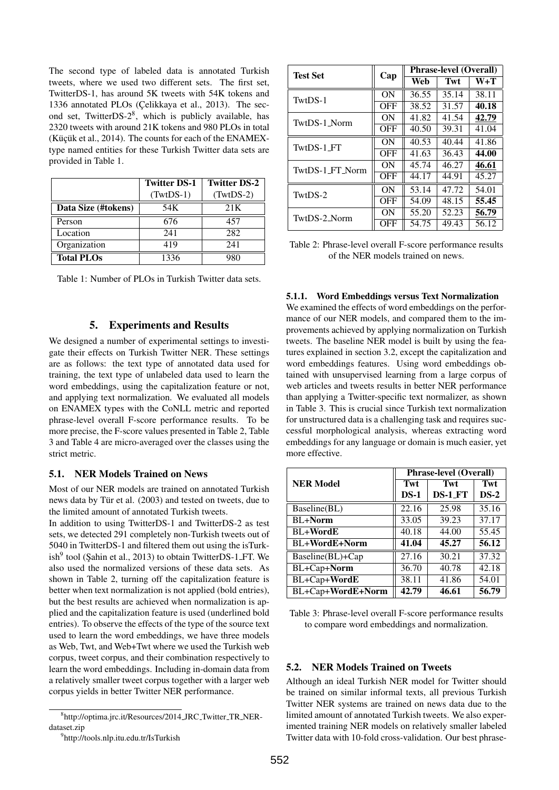The second type of labeled data is annotated Turkish tweets, where we used two different sets. The first set, TwitterDS-1, has around 5K tweets with 54K tokens and 1336 annotated PLOs (Çelikkaya et al., 2013). The second set, TwitterDS-2<sup>8</sup>, which is publicly available, has 2320 tweets with around 21K tokens and 980 PLOs in total (Küçük et al., 2014). The counts for each of the ENAMEXtype named entities for these Turkish Twitter data sets are provided in Table 1.

|                     | <b>Twitter DS-1</b> | <b>Twitter DS-2</b> |  |  |
|---------------------|---------------------|---------------------|--|--|
|                     | $(TwtDS-1)$         | $(TwtDS-2)$         |  |  |
| Data Size (#tokens) | 54K                 | 21K                 |  |  |
| Person              | 676                 | 457                 |  |  |
| Location            | 241                 | 282                 |  |  |
| Organization        | 419                 | 241                 |  |  |
| <b>Total PLOs</b>   | 1336                | 980                 |  |  |

Table 1: Number of PLOs in Turkish Twitter data sets.

#### 5. Experiments and Results

We designed a number of experimental settings to investigate their effects on Turkish Twitter NER. These settings are as follows: the text type of annotated data used for training, the text type of unlabeled data used to learn the word embeddings, using the capitalization feature or not, and applying text normalization. We evaluated all models on ENAMEX types with the CoNLL metric and reported phrase-level overall F-score performance results. To be more precise, the F-score values presented in Table 2, Table 3 and Table 4 are micro-averaged over the classes using the strict metric.

#### 5.1. NER Models Trained on News

Most of our NER models are trained on annotated Turkish news data by Tür et al. (2003) and tested on tweets, due to the limited amount of annotated Turkish tweets.

In addition to using TwitterDS-1 and TwitterDS-2 as test sets, we detected 291 completely non-Turkish tweets out of 5040 in TwitterDS-1 and filtered them out using the isTurkish<sup>9</sup> tool (Şahin et al., 2013) to obtain TwitterDS-1<sub>-FT</sub>. We also used the normalized versions of these data sets. As shown in Table 2, turning off the capitalization feature is better when text normalization is not applied (bold entries), but the best results are achieved when normalization is applied and the capitalization feature is used (underlined bold entries). To observe the effects of the type of the source text used to learn the word embeddings, we have three models as Web, Twt, and Web+Twt where we used the Turkish web corpus, tweet corpus, and their combination respectively to learn the word embeddings. Including in-domain data from a relatively smaller tweet corpus together with a larger web corpus yields in better Twitter NER performance.

| <b>Test Set</b> | Cap        | <b>Phrase-level (Overall)</b> |       |       |  |
|-----------------|------------|-------------------------------|-------|-------|--|
|                 |            | Web                           | Twt   | W+T   |  |
| TwtDS-1         | ON         | 36.55                         | 35.14 | 38.11 |  |
|                 | <b>OFF</b> | 38.52                         | 31.57 | 40.18 |  |
| TwtDS-1_Norm    | ON         | 41.82                         | 41.54 | 42.79 |  |
|                 | <b>OFF</b> | 40.50                         | 39.31 | 41.04 |  |
| TwtDS-1 FT      | ON         | 40.53                         | 40.44 | 41.86 |  |
|                 | <b>OFF</b> | 41.63                         | 36.43 | 44.00 |  |
| TwtDS-1_FT_Norm | ON         | 45.74                         | 46.27 | 46.61 |  |
|                 | <b>OFF</b> | 44.17                         | 44.91 | 45.27 |  |
| TwtDS-2         | ON         | 53.14                         | 47.72 | 54.01 |  |
|                 | <b>OFF</b> | 54.09                         | 48.15 | 55.45 |  |
| TwtDS-2_Norm    | ON         | 55.20                         | 52.23 | 56.79 |  |
|                 | OFF        | 54.75                         | 49.43 | 56.12 |  |

Table 2: Phrase-level overall F-score performance results of the NER models trained on news.

5.1.1. Word Embeddings versus Text Normalization

We examined the effects of word embeddings on the performance of our NER models, and compared them to the improvements achieved by applying normalization on Turkish tweets. The baseline NER model is built by using the features explained in section 3.2, except the capitalization and word embeddings features. Using word embeddings obtained with unsupervised learning from a large corpus of web articles and tweets results in better NER performance than applying a Twitter-specific text normalizer, as shown in Table 3. This is crucial since Turkish text normalization for unstructured data is a challenging task and requires successful morphological analysis, whereas extracting word embeddings for any language or domain is much easier, yet more effective.

|                      | <b>Phrase-level (Overall)</b> |            |        |  |
|----------------------|-------------------------------|------------|--------|--|
| <b>NER Model</b>     | Twt                           | Twt        | Twt    |  |
|                      | $DS-1$                        | $DS-1_F T$ | $DS-2$ |  |
| Baseline(BL)         | 22.16                         | 25.98      | 35.16  |  |
| <b>BL+Norm</b>       | 33.05                         | 39.23      | 37.17  |  |
| <b>BL+WordE</b>      | 40.18                         | 44.00      | 55.45  |  |
| <b>BL+WordE+Norm</b> | 41.04                         | 45.27      | 56.12  |  |
| Baseline(BL)+Cap     | 27.16                         | 30.21      | 37.32  |  |
| BL+Cap+Norm          | 36.70                         | 40.78      | 42.18  |  |
| BL+Cap+WordE         | 38.11                         | 41.86      | 54.01  |  |
| BL+Cap+WordE+Norm    | 42.79                         | 46.61      | 56.79  |  |

Table 3: Phrase-level overall F-score performance results to compare word embeddings and normalization.

#### 5.2. NER Models Trained on Tweets

Although an ideal Turkish NER model for Twitter should be trained on similar informal texts, all previous Turkish Twitter NER systems are trained on news data due to the limited amount of annotated Turkish tweets. We also experimented training NER models on relatively smaller labeled Twitter data with 10-fold cross-validation. Our best phrase-

<sup>8</sup> http://optima.jrc.it/Resources/2014 JRC Twitter TR NERdataset.zip

<sup>9</sup> http://tools.nlp.itu.edu.tr/IsTurkish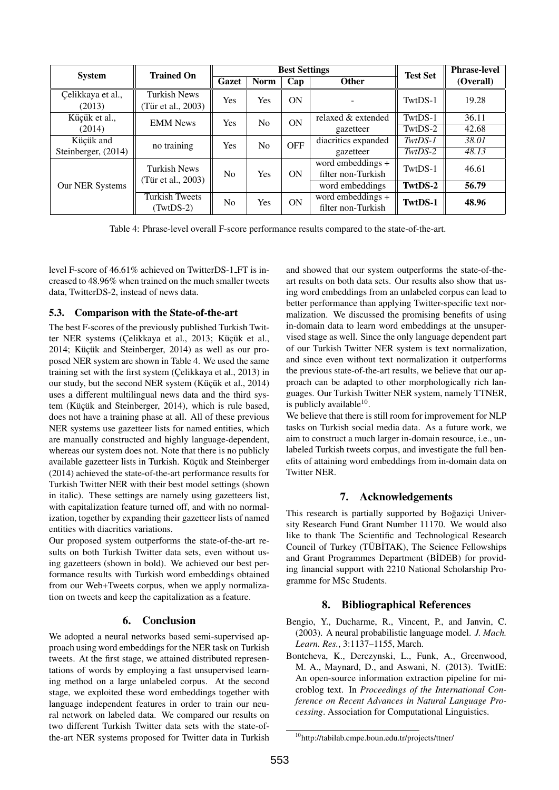| <b>System</b>               | <b>Trained On</b>                         | <b>Best Settings</b>      |                |                                         | <b>Test Set</b>                         | <b>Phrase-level</b> |           |
|-----------------------------|-------------------------------------------|---------------------------|----------------|-----------------------------------------|-----------------------------------------|---------------------|-----------|
|                             |                                           | Gazet                     | <b>Norm</b>    | Cap                                     | <b>Other</b>                            |                     | (Overall) |
| Çelikkaya et al.,<br>(2013) | <b>Turkish News</b><br>(Tür et al., 2003) | Yes                       | Yes            | ON                                      |                                         | TwtDS-1             | 19.28     |
| Küçük et al.,               | <b>EMM News</b>                           | Yes                       | N <sub>0</sub> | ON                                      | relaxed & extended                      | TwtDS-1             | 36.11     |
| (2014)                      |                                           |                           |                | gazetteer                               | TwtDS-2                                 | 42.68               |           |
| Küçük and                   | no training                               | Yes                       | N <sub>0</sub> | <b>OFF</b>                              | diacritics expanded                     | $TwtDS-1$           | 38.01     |
| Steinberger, (2014)         |                                           |                           |                | gazetteer                               | $TwtDS-2$                               | 48.13               |           |
| Our NER Systems             | <b>Turkish News</b>                       | No.<br>(Tür et al., 2003) | ON<br>Yes      | word embeddings +<br>filter non-Turkish | TwtDS-1                                 | 46.61               |           |
|                             |                                           |                           |                |                                         | word embeddings                         | TwtDS-2             | 56.79     |
|                             | <b>Turkish Tweets</b><br>$(TwtDS-2)$      | No.                       | Yes            | ON                                      | word embeddings +<br>filter non-Turkish | TwtDS-1             | 48.96     |

Table 4: Phrase-level overall F-score performance results compared to the state-of-the-art.

level F-score of 46.61% achieved on TwitterDS-1 FT is increased to 48.96% when trained on the much smaller tweets data, TwitterDS-2, instead of news data.

#### 5.3. Comparison with the State-of-the-art

The best F-scores of the previously published Turkish Twitter NER systems (Çelikkaya et al., 2013; Küçük et al.,  $2014$ ; Küçük and Steinberger,  $2014$ ) as well as our proposed NER system are shown in Table 4. We used the same training set with the first system (Çelikkaya et al., 2013) in our study, but the second NER system (Küçük et al., 2014) uses a different multilingual news data and the third system (Küçük and Steinberger, 2014), which is rule based, does not have a training phase at all. All of these previous NER systems use gazetteer lists for named entities, which are manually constructed and highly language-dependent, whereas our system does not. Note that there is no publicly available gazetteer lists in Turkish. Küçük and Steinberger (2014) achieved the state-of-the-art performance results for Turkish Twitter NER with their best model settings (shown in italic). These settings are namely using gazetteers list, with capitalization feature turned off, and with no normalization, together by expanding their gazetteer lists of named entities with diacritics variations.

Our proposed system outperforms the state-of-the-art results on both Turkish Twitter data sets, even without using gazetteers (shown in bold). We achieved our best performance results with Turkish word embeddings obtained from our Web+Tweets corpus, when we apply normalization on tweets and keep the capitalization as a feature.

# 6. Conclusion

We adopted a neural networks based semi-supervised approach using word embeddings for the NER task on Turkish tweets. At the first stage, we attained distributed representations of words by employing a fast unsupervised learning method on a large unlabeled corpus. At the second stage, we exploited these word embeddings together with language independent features in order to train our neural network on labeled data. We compared our results on two different Turkish Twitter data sets with the state-ofthe-art NER systems proposed for Twitter data in Turkish and showed that our system outperforms the state-of-theart results on both data sets. Our results also show that using word embeddings from an unlabeled corpus can lead to better performance than applying Twitter-specific text normalization. We discussed the promising benefits of using in-domain data to learn word embeddings at the unsupervised stage as well. Since the only language dependent part of our Turkish Twitter NER system is text normalization, and since even without text normalization it outperforms the previous state-of-the-art results, we believe that our approach can be adapted to other morphologically rich languages. Our Turkish Twitter NER system, namely TTNER, is publicly available<sup>10</sup>.

We believe that there is still room for improvement for NLP tasks on Turkish social media data. As a future work, we aim to construct a much larger in-domain resource, i.e., unlabeled Turkish tweets corpus, and investigate the full benefits of attaining word embeddings from in-domain data on Twitter NER.

# 7. Acknowledgements

This research is partially supported by Boğazici University Research Fund Grant Number 11170. We would also like to thank The Scientific and Technological Research Council of Turkey (TÜBİTAK), The Science Fellowships and Grant Programmes Department (B˙IDEB) for providing financial support with 2210 National Scholarship Programme for MSc Students.

# 8. Bibliographical References

- Bengio, Y., Ducharme, R., Vincent, P., and Janvin, C. (2003). A neural probabilistic language model. *J. Mach. Learn. Res.*, 3:1137–1155, March.
- Bontcheva, K., Derczynski, L., Funk, A., Greenwood, M. A., Maynard, D., and Aswani, N. (2013). TwitIE: An open-source information extraction pipeline for microblog text. In *Proceedings of the International Conference on Recent Advances in Natural Language Processing*. Association for Computational Linguistics.

<sup>10</sup>http://tabilab.cmpe.boun.edu.tr/projects/ttner/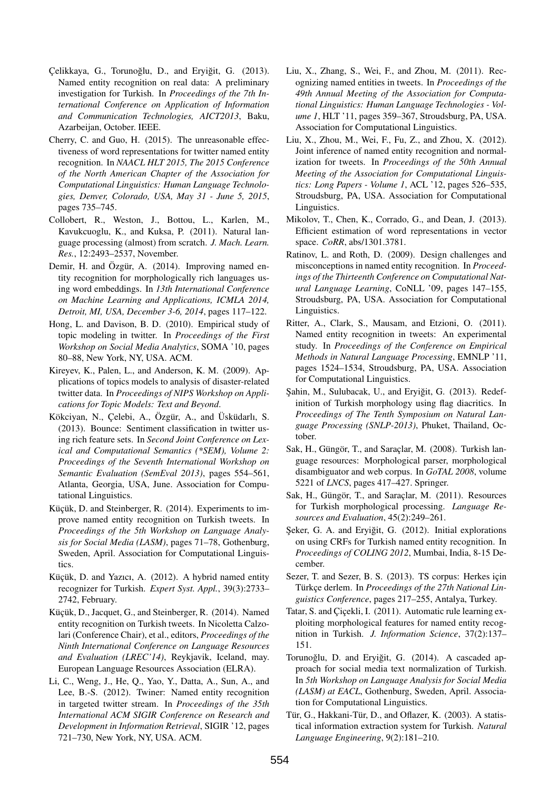- Çelikkaya, G., Torunoğlu, D., and Eryiğit, G. (2013). Named entity recognition on real data: A preliminary investigation for Turkish. In *Proceedings of the 7th International Conference on Application of Information and Communication Technologies, AICT2013*, Baku, Azarbeijan, October. IEEE.
- Cherry, C. and Guo, H. (2015). The unreasonable effectiveness of word representations for twitter named entity recognition. In *NAACL HLT 2015, The 2015 Conference of the North American Chapter of the Association for Computational Linguistics: Human Language Technologies, Denver, Colorado, USA, May 31 - June 5, 2015*, pages 735–745.
- Collobert, R., Weston, J., Bottou, L., Karlen, M., Kavukcuoglu, K., and Kuksa, P. (2011). Natural language processing (almost) from scratch. *J. Mach. Learn. Res.*, 12:2493–2537, November.
- Demir, H. and Özgür, A.  $(2014)$ . Improving named entity recognition for morphologically rich languages using word embeddings. In *13th International Conference on Machine Learning and Applications, ICMLA 2014, Detroit, MI, USA, December 3-6, 2014*, pages 117–122.
- Hong, L. and Davison, B. D. (2010). Empirical study of topic modeling in twitter. In *Proceedings of the First Workshop on Social Media Analytics*, SOMA '10, pages 80–88, New York, NY, USA. ACM.
- Kireyev, K., Palen, L., and Anderson, K. M. (2009). Applications of topics models to analysis of disaster-related twitter data. In *Proceedings of NIPS Workshop on Applications for Topic Models: Text and Beyond*.
- Kökciyan, N., Çelebi, A., Özgür, A., and Üsküdarlı, S. (2013). Bounce: Sentiment classification in twitter using rich feature sets. In *Second Joint Conference on Lexical and Computational Semantics (\*SEM), Volume 2: Proceedings of the Seventh International Workshop on Semantic Evaluation (SemEval 2013)*, pages 554–561, Atlanta, Georgia, USA, June. Association for Computational Linguistics.
- Küçük, D. and Steinberger, R. (2014). Experiments to improve named entity recognition on Turkish tweets. In *Proceedings of the 5th Workshop on Language Analysis for Social Media (LASM)*, pages 71–78, Gothenburg, Sweden, April. Association for Computational Linguistics.
- Küçük, D. and Yazıcı, A. (2012). A hybrid named entity recognizer for Turkish. *Expert Syst. Appl.*, 39(3):2733– 2742, February.
- Küçük, D., Jacquet, G., and Steinberger, R. (2014). Named entity recognition on Turkish tweets. In Nicoletta Calzolari (Conference Chair), et al., editors, *Proceedings of the Ninth International Conference on Language Resources and Evaluation (LREC'14)*, Reykjavik, Iceland, may. European Language Resources Association (ELRA).
- Li, C., Weng, J., He, Q., Yao, Y., Datta, A., Sun, A., and Lee, B.-S. (2012). Twiner: Named entity recognition in targeted twitter stream. In *Proceedings of the 35th International ACM SIGIR Conference on Research and Development in Information Retrieval*, SIGIR '12, pages 721–730, New York, NY, USA. ACM.
- Liu, X., Zhang, S., Wei, F., and Zhou, M. (2011). Recognizing named entities in tweets. In *Proceedings of the 49th Annual Meeting of the Association for Computational Linguistics: Human Language Technologies - Volume 1*, HLT '11, pages 359–367, Stroudsburg, PA, USA. Association for Computational Linguistics.
- Liu, X., Zhou, M., Wei, F., Fu, Z., and Zhou, X. (2012). Joint inference of named entity recognition and normalization for tweets. In *Proceedings of the 50th Annual Meeting of the Association for Computational Linguistics: Long Papers - Volume 1*, ACL '12, pages 526–535, Stroudsburg, PA, USA. Association for Computational Linguistics.
- Mikolov, T., Chen, K., Corrado, G., and Dean, J. (2013). Efficient estimation of word representations in vector space. *CoRR*, abs/1301.3781.
- Ratinov, L. and Roth, D. (2009). Design challenges and misconceptions in named entity recognition. In *Proceedings of the Thirteenth Conference on Computational Natural Language Learning*, CoNLL '09, pages 147–155, Stroudsburg, PA, USA. Association for Computational Linguistics.
- Ritter, A., Clark, S., Mausam, and Etzioni, O. (2011). Named entity recognition in tweets: An experimental study. In *Proceedings of the Conference on Empirical Methods in Natural Language Processing*, EMNLP '11, pages 1524–1534, Stroudsburg, PA, USA. Association for Computational Linguistics.
- Sahin, M., Sulubacak, U., and Eryiğit, G. (2013). Redefinition of Turkish morphology using flag diacritics. In *Proceedings of The Tenth Symposium on Natural Language Processing (SNLP-2013)*, Phuket, Thailand, October.
- Sak, H., Güngör, T., and Saraçlar, M. (2008). Turkish language resources: Morphological parser, morphological disambiguator and web corpus. In *GoTAL 2008*, volume 5221 of *LNCS*, pages 417–427. Springer.
- Sak, H., Güngör, T., and Saraçlar, M. (2011). Resources for Turkish morphological processing. *Language Resources and Evaluation*, 45(2):249–261.
- Şeker, G. A. and Eryiğit, G. (2012). Initial explorations on using CRFs for Turkish named entity recognition. In *Proceedings of COLING 2012*, Mumbai, India, 8-15 December.
- Sezer, T. and Sezer, B. S. (2013). TS corpus: Herkes icin Türkçe derlem. In Proceedings of the 27th National Lin*guistics Conference*, pages 217–255, Antalya, Turkey.
- Tatar, S. and Cicekli, I. (2011). Automatic rule learning exploiting morphological features for named entity recognition in Turkish. *J. Information Science*, 37(2):137– 151.
- Torunoğlu, D. and Eryiğit, G. (2014). A cascaded approach for social media text normalization of Turkish. In *5th Workshop on Language Analysis for Social Media (LASM) at EACL*, Gothenburg, Sweden, April. Association for Computational Linguistics.
- Tür, G., Hakkani-Tür, D., and Oflazer, K. (2003). A statistical information extraction system for Turkish. *Natural Language Engineering*, 9(2):181–210.